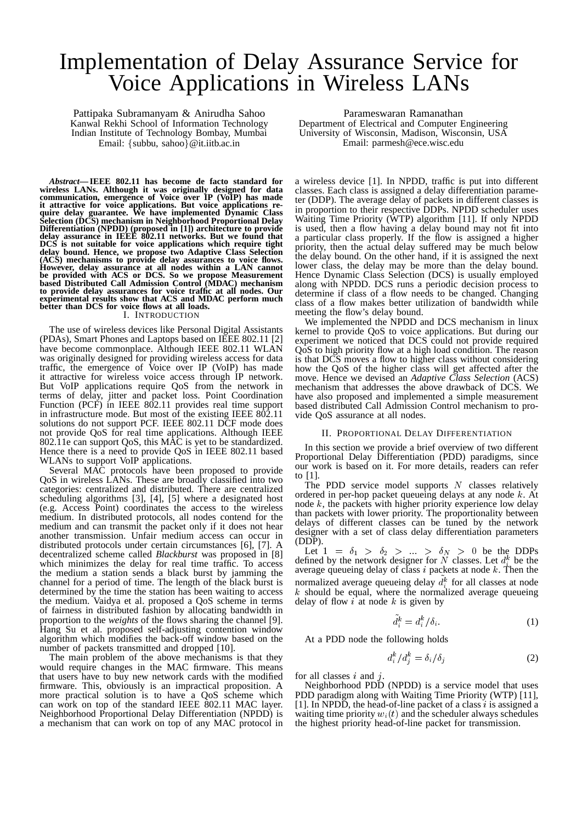# Implementation of Delay Assurance Service for Voice Applications in Wireless LANs

Pattipaka Subramanyam & Anirudha Sahoo Kanwal Rekhi School of Information Technology Indian Institute of Technology Bombay, Mumbai Email: {subbu, sahoo}@it.iitb.ac.in

*Abstract***— IEEE 802.11 has become de facto standard for wireless LANs. Although it was originally designed for data communication, emergence of Voice over IP (VoIP) has made it attractive for voice applications. But voice applications require delay guarantee. We have implemented Dynamic Class Selection (DCS) mechanism in Neighborhood Proportional Delay Differentiation (NPDD) (proposed in [1]) architecture to provide delay assurance in IEEE 802.11 networks. But we found that DCS is not suitable for voice applications which require tight delay bound. Hence, we propose two Adaptive Class Selection (ACS) mechanisms to provide delay assurances to voice flows. However, delay assurance at all nodes within a LAN cannot be provided with ACS or DCS. So we propose Measurement based Distributed Call Admission Control (MDAC) mechanism to provide delay assurances for voice traffic at all nodes. Our experimental results show that ACS and MDAC perform much better than DCS for voice flows at all loads.** I. INTRODUCTION

The use of wireless devices like Personal Digital Assistants (PDAs), Smart Phones and Laptops based on IEEE 802.11 [2] have become commonplace. Although IEEE 802.11 WLAN was originally designed for providing wireless access for data traffic, the emergence of Voice over IP (VoIP) has made it attractive for wireless voice access through IP network. But VoIP applications require QoS from the network in terms of delay, jitter and packet loss. Point Coordination Function (PCF) in IEEE 802.11 provides real time support in infrastructure mode. But most of the existing IEEE 802.11 solutions do not support PCF. IEEE 802.11 DCF mode does not provide QoS for real time applications. Although IEEE 802.11e can support QoS, this MAC is yet to be standardized. Hence there is a need to provide QoS in IEEE 802.11 based WLANs to support VoIP applications.

Several MAC protocols have been proposed to provide QoS in wireless LANs. These are broadly classified into two categories: centralized and distributed. There are centralized scheduling algorithms [3], [4], [5] where a designated host (e.g. Access Point) coordinates the access to the wireless medium. In distributed protocols, all nodes contend for the medium and can transmit the packet only if it does not hear another transmission. Unfair medium access can occur in distributed protocols under certain circumstances [6], [7]. A decentralized scheme called *Blackburst* was proposed in [8] which minimizes the delay for real time traffic. To access the medium a station sends a black burst by jamming the channel for a period of time. The length of the black burst is determined by the time the station has been waiting to access the medium. Vaidya et al. proposed a QoS scheme in terms of fairness in distributed fashion by allocating bandwidth in proportion to the *weights* of the flows sharing the channel [9]. Hang Su et al. proposed self-adjusting contention window algorithm which modifies the back-off window based on the number of packets transmitted and dropped [10].

The main problem of the above mechanisms is that they would require changes in the MAC firmware. This means that users have to buy new network cards with the modified firmware. This, obviously is an impractical proposition. A more practical solution is to have a QoS scheme which can work on top of the standard IEEE 802.11 MAC layer. Neighborhood Proportional Delay Differentiation (NPDD) is a mechanism that can work on top of any MAC protocol in

Parameswaran Ramanathan Department of Electrical and Computer Engineering University of Wisconsin, Madison, Wisconsin, USA Email: parmesh@ece.wisc.edu

a wireless device [1]. In NPDD, traffic is put into different classes. Each class is assigned a delay differentiation parameter (DDP). The average delay of packets in different classes is in proportion to their respective DDPs. NPDD scheduler uses Waiting Time Priority (WTP) algorithm [11]. If only NPDD is used, then a flow having a delay bound may not fit into a particular class properly. If the flow is assigned a higher priority, then the actual delay suffered may be much below the delay bound. On the other hand, if it is assigned the next lower class, the delay may be more than the delay bound. Hence Dynamic Class Selection (DCS) is usually employed along with NPDD. DCS runs a periodic decision process to determine if class of a flow needs to be changed. Changing class of a flow makes better utilization of bandwidth while meeting the flow's delay bound.

We implemented the NPDD and DCS mechanism in linux kernel to provide QoS to voice applications. But during our experiment we noticed that DCS could not provide required QoS to high priority flow at a high load condition. The reason is that DCS moves a flow to higher class without considering how the QoS of the higher class will get affected after the move. Hence we devised an *Adaptive Class Selection* (ACS) mechanism that addresses the above drawback of DCS. We have also proposed and implemented a simple measurement based distributed Call Admission Control mechanism to provide QoS assurance at all nodes.

# II. PROPORTIONAL DELAY DIFFERENTIATION

In this section we provide a brief overview of two different Proportional Delay Differentiation (PDD) paradigms, since our work is based on it. For more details, readers can refer to [1].

The PDD service model supports  $N$  classes relatively ordered in per-hop packet queueing delays at any node <sup>k</sup>. At node  $k$ , the packets with higher priority experience low delay than packets with lower priority. The proportionality between delays of different classes can be tuned by the network designer with a set of class delay differentiation parameters (DDP).

Let  $1 = \delta_1 > \delta_2 > ... > \delta_N > 0$  be the DDPs<br>fixed by the naturals decision for N algebras Let dk be the defined by the network designer for N classes. Let  $d_i^k$  be the process quantum delay of class a process at node k. Then the average queueing delay of class i packets at node  $k$ . Then the normalized average queueing delay  $d_i^k$  for all classes at node normalized average queueing delay  $a_i$  for all classes at hode<br>k should be equal, where the normalized average queueing<br>k should flow a st and a k is given by delay of flow  $i$  at node  $k$  is given by

$$
d_i^k = d_i^k / \delta_i. \tag{1}
$$

At a PDD node the following holds

$$
d_i^k / d_j^k = \delta_i / \delta_j \tag{2}
$$

for all classes  $i$  and  $j$ .

Neighborhood PDD (NPDD) is a service model that uses PDD paradigm along with Waiting Time Priority (WTP) [11], [1]. In NPDD, the head-of-line packet of a class  $i$  is assigned a waiting time priority  $w_i(t)$  and the scheduler always schedules the highest priority head-of-line packet for transmission.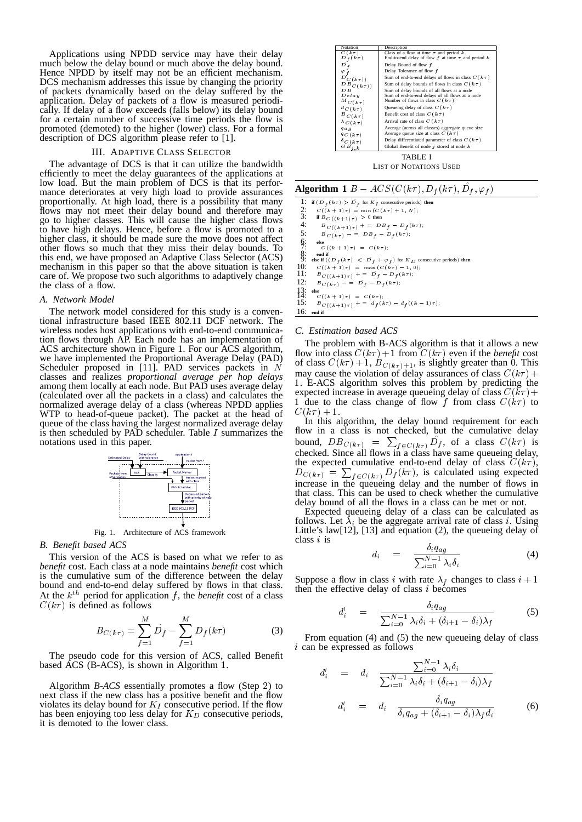Applications using NPDD service may have their delay much below the delay bound or much above the delay bound. Hence NPDD by itself may not be an efficient mechanism. DCS mechanism addresses this issue by changing the priority of packets dynamically based on the delay suffered by the application. Delay of packets of a flow is measured periodically. If delay of a flow exceeds (falls below) its delay bound for a certain number of successive time periods the flow is promoted (demoted) to the higher (lower) class. For a formal description of DCS algorithm please refer to [1].

#### III. ADAPTIVE CLASS SELECTOR

The advantage of DCS is that it can utilize the bandwidth efficiently to meet the delay guarantees of the applications at low load. But the main problem of DCS is that its performance deteriorates at very high load to provide assurances proportionally. At high load, there is a possibility that many flows may not meet their delay bound and therefore may go to higher classes. This will cause the higher class flows to have high delays. Hence, before a flow is promoted to a higher class, it should be made sure the move does not affect other flows so much that they miss their delay bounds. To this end, we have proposed an Adaptive Class Selector (ACS) mechanism in this paper so that the above situation is taken care of. We propose two such algorithms to adaptively change the class of a flow.

# *A. Network Model*

The network model considered for this study is a conventional infrastructure based IEEE 802.11 DCF network. The wireless nodes host applications with end-to-end communication flows through AP. Each node has an implementation of ACS architecture shown in Figure 1. For our ACS algorithm, we have implemented the Proportional Average Delay (PAD) Scheduler proposed in [11]. PAD services packets in  $N$ classes and realizes *proportional average per hop delays* among them locally at each node. But PAD uses average delay (calculated over all the packets in a class) and calculates the normalized average delay of a class (whereas NPDD applies WTP to head-of-queue packet). The packet at the head of queue of the class having the largest normalized average delay is then scheduled by PAD scheduler. Table <sup>I</sup> summarizes the notations used in this paper.



Fig. 1. Architecture of ACS framework

# *B. Benefit based ACS*

This version of the ACS is based on what we refer to as *benefit* cost. Each class at a node maintains *benefit* cost which is the cumulative sum of the difference between the delay bound and end-to-end delay suffered by flows in that class. At the  $k^{th}$  period for application f, the *benefit* cost of a class  $C(kx)$  is defined as follows:  $C(k\tau)$  is defined as follows

$$
B_{C(k\tau)} = \sum_{f=1}^{M} \hat{D_f} - \sum_{f=1}^{M} D_f(k\tau)
$$
 (3)

The pseudo code for this version of ACS, called Benefit based ACS (B-ACS), is shown in Algorithm <sup>1</sup>.

Algorithm *B-ACS* essentially promotes a flow (Step <sup>2</sup>) to next class if the new class has a positive benefit and the flow violates its delay bound for  $K_I$  consecutive period. If the flow has been enjoying too less delay for  $K_D$  consecutive periods, it is demoted to the lower class.

| Notation                                                   | Description                                                |  |  |  |  |  |
|------------------------------------------------------------|------------------------------------------------------------|--|--|--|--|--|
| $C(k\tau)$                                                 | Class of a flow at time $\tau$ and period k.               |  |  |  |  |  |
| $f(k\tau)$                                                 | End-to-end delay of flow $f$ at time $\tau$ and period $k$ |  |  |  |  |  |
| D                                                          | Delay Bound of flow f                                      |  |  |  |  |  |
|                                                            | Delay Tolerance of flow f                                  |  |  |  |  |  |
| $\overset{\varphi_f}{\mathcal{D}}_{\mathcal{L}\;(k\tau))}$ | Sum of end-to-end delays of flows in class $C(k\tau)$      |  |  |  |  |  |
| $DB_{C(k\tau))}$                                           | Sum of delay bounds of flows in class $C(k\tau)$           |  |  |  |  |  |
| D B                                                        | Sum of delay bounds of all flows at a node                 |  |  |  |  |  |
| Delau                                                      | Sum of end-to-end delays of all flows at a node            |  |  |  |  |  |
| $^{M}$ C $(k\tau)$                                         | Number of flows in class $C(k\tau)$                        |  |  |  |  |  |
|                                                            | Queueing delay of class $C(k\tau)$<br>${}^dC\, (k\,\tau)$  |  |  |  |  |  |
| $B_{C(k\tau)}$                                             | Benefit cost of class $C(k\tau)$                           |  |  |  |  |  |
| $\lambda_{C(k\tau)}$                                       | Arrival rate of class $C(k\tau)$                           |  |  |  |  |  |
| Average (across all classes) aggregate queue size<br>q a g |                                                            |  |  |  |  |  |
| $q_{C(k\tau)}$                                             | Average queue size at class $C(k\tau)$                     |  |  |  |  |  |
| $\delta_{C\, (k\tau)}$                                     | Delay differentiated parameter of class $C(k\tau)$         |  |  |  |  |  |
| $G \, B \,$ $_{i \, , \, k}$                               | Global Benefit of node $i$ stored at node $k$              |  |  |  |  |  |
| TARLE I                                                    |                                                            |  |  |  |  |  |

LIST OF NOTATIONS USED

**Algorithm 1**  $B - ACS(C(k\tau), D_f(k\tau), D_f, \varphi_f)$ 

1: **if**  $(D_f(k\tau) > D^f_f$  for  $K_I$  consecutive periods) **then** 2:  $C((k+1)\tau) = \min(C(k\tau) + 1, N);$ <br>3: if  $B_{C((k+1)\tau)} > 0$  then 3: **if**  $B_C((k+1)\tau) > 0$  **then**<br>4:  $B_C((k+1)\tau) + D E$ 4:  $B_C((k+1)\tau)$  + =  $DB_f - D_f(k\tau)$ ;<br>5:  $B_C(k\tau)$  =  $DB_f - D_f(k\tau)$ ;  $\oint_{\tau}$  **else**<br>  $C((k+1)\tau) = C(k\tau);$ 8: **end if**<br>
9: **else if**  $((D_f(k\tau) < D^f + \varphi_f)$  for  $K_D$  consecutive periods) **then** 10:  $C((k+1)\tau) = \max(C(k\tau) - 1, 0);$ <br>
11:  $B_{C((k+1)\tau)} + B_{f} - D_{f}(k\tau);$ <br>
12:  $B_{C(k\tau)} - B_{f} - D_{f}(k\tau);$  $\begin{cases} 3: \text{else} \\ 4: \end{cases}$   $C((k+1)\tau) = C(k\tau);$ 15:  $B_{C((k+1)\tau)}$  + =  $d_f(k\tau) - d_f((k-1)\tau);$ 16: **end if**

# *C. Estimation based ACS*

The problem with B-ACS algorithm is that it allows a new flow into class  $C(k\tau) + 1$  from  $C(k\tau)$  even if the *benefit* cost of class  $C(k\tau) + 1$ ,  $B_{C(k\tau)+1}$ , is slightly greater than 0. This may cause the violation of delay assurances of class  $C(k\tau)$  + 1. E-ACS algorithm solves this problem by predicting the expected increase in successes quantity of along  $C(h\tau)$ expected increase in average queueing delay of class  $C(k\tau)$  +  $\frac{1}{2}$  due to the class change of flow f from class  $C(k\tau)$  to 1 due to the class change of flow f from class  $C(k\tau)$  to  $C(k\tau) + 1.$ 

In this algorithm, the delay bound requirement for each flow in a class is not checked, but the cumulative delay bound,  $DB_{C(k\tau)} = \sum_{f \in C(k\tau)} \hat{D}_f$ , of a class  $C(k\tau)$  is checked. Since all flows in a class have same queueing delay, the expected cumulative end-to-end delay of class  $C(k\tau)$ ,  $D_{C(k\tau)} = \sum_{f \in C(k\tau)} D_f(k\tau)$ , is calculated using expected increase in the queueing delay and the number of flows in that class. This can be used to check whether the cumulative delay bound of all the flows in a class can be met or not.

Expected queueing delay of a class can be calculated as follows. Let  $\lambda_i$  be the aggregate arrival rate of class *i*. Using I it the summa delay of Little's law[12], [13] and equation (2), the queueing delay of class <sup>i</sup> is

$$
d_i = \frac{\delta_i q_{ag}}{\sum_{i=0}^{N-1} \lambda_i \delta_i}
$$
 (4)

Suppose a flow in class i with rate  $\lambda_f$  changes to class  $i + 1$ then the effective delay of class  $i$  becomes

$$
d'_{i} = \frac{\delta_{i}q_{ag}}{\sum_{i=0}^{N-1} \lambda_{i}\delta_{i} + (\delta_{i+1} - \delta_{i})\lambda_{f}}
$$
(5)

From equation (4) and (5) the new queueing delay of class <sup>i</sup> can be expressed as follows

$$
d'_{i} = d_{i} \frac{\sum_{i=0}^{N-1} \lambda_{i} \delta_{i}}{\sum_{i=0}^{N-1} \lambda_{i} \delta_{i} + (\delta_{i+1} - \delta_{i}) \lambda_{f}}
$$

$$
d'_{i} = d_{i} \frac{\delta_{i} q_{ag}}{\delta_{i} q_{ag} + (\delta_{i+1} - \delta_{i}) \lambda_{f} d_{i}}
$$
(6)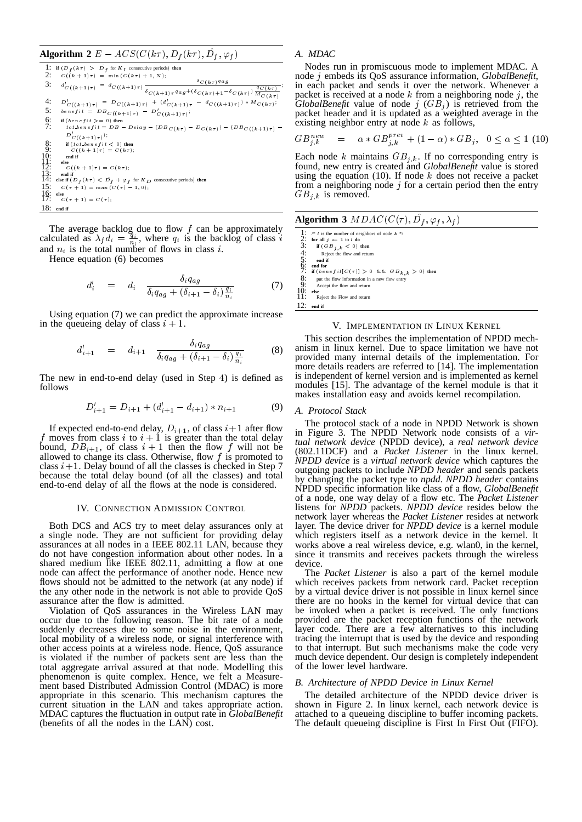# **Algorithm 2**  $E - ACS(C(k\tau), D_f(k\tau), D_f, \varphi_f)$

|                                                        | 1: if $(D_f(k \tau) > D_f$ for $K_I$ consecutive periods) then                                                                                                                                                                                                                                                                      |
|--------------------------------------------------------|-------------------------------------------------------------------------------------------------------------------------------------------------------------------------------------------------------------------------------------------------------------------------------------------------------------------------------------|
| 2:                                                     | $C((k + 1)\tau) = \min(C(k\tau) + 1, N);$                                                                                                                                                                                                                                                                                           |
| 3:                                                     | $\delta_{C(k\tau)}$ q a g<br>$d'_{C\left((k+1)\tau\right)}\,=\,d_{C\left((k+1)\tau\right)}\,\frac{\cdot\,\cdot\,\cdot\,\cdot\,\cdot\,\cdot}{\delta_{C\,\left(k+1\right)\tau^{\,q}a g\,+\, (\delta_{C\,\left(k\tau\right)\,+\,1}\,-\,\delta_{C\,\left(k\tau\right)}\,\frac{q_{C\,\left(k\tau\right)}}{M_{\,C\,\left(k\tau\right)}}}$ |
|                                                        |                                                                                                                                                                                                                                                                                                                                     |
| 4:                                                     | $D'_{C((k+1)\tau)} = D_{C((k+1)\tau)} + (d'_{C(k+1)\tau} - d_{C((k+1)\tau)}) * M_{C(k\tau)};$                                                                                                                                                                                                                                       |
| 5:                                                     | $benefit = DB_{C((k+1)\tau)} - D'_{C((k+1)\tau)};$                                                                                                                                                                                                                                                                                  |
| $rac{6}{7}$                                            | if $(bene fit >= 0)$ then                                                                                                                                                                                                                                                                                                           |
|                                                        | tot.benefit = $DB - Delay - (DB_{C(k\tau)} - D_{C(k\tau)}) - (DB_{C((k+1)\tau)} -$                                                                                                                                                                                                                                                  |
|                                                        | $D'_{C((k+1)\tau)}$ );                                                                                                                                                                                                                                                                                                              |
| 8:                                                     | if $(tot_{\text{}}.benefit<0)$ then                                                                                                                                                                                                                                                                                                 |
| 9:                                                     | $C((k + 1)\tau) = C(k\tau)$ :                                                                                                                                                                                                                                                                                                       |
|                                                        | end if                                                                                                                                                                                                                                                                                                                              |
| $\begin{smallmatrix} 10 \\ 11 \\ 12 \end{smallmatrix}$ | else<br>$C((k+1)\tau) = C(k\tau);$                                                                                                                                                                                                                                                                                                  |
| $\frac{1}{14}$ :                                       | end if                                                                                                                                                                                                                                                                                                                              |
|                                                        | else if $(D_f(k\tau) < D_f + \varphi_f$ for $K_D$ consecutive periods) then                                                                                                                                                                                                                                                         |
| 15:                                                    | $C(\tau + 1) = \max(C(\tau) - 1, 0);$                                                                                                                                                                                                                                                                                               |
| $\frac{16}{17}$                                        | else                                                                                                                                                                                                                                                                                                                                |
|                                                        | $C(\tau + 1) = C(\tau)$ :                                                                                                                                                                                                                                                                                                           |
| 18:                                                    | end if                                                                                                                                                                                                                                                                                                                              |

The average backlog due to flow  $f$  can be approximately calculated as  $\lambda_f d_i = \frac{\dot{q}_i}{n_i}$ , where  $q_i$  is the backlog of class i and  $n_i$  is the total number of flows in class i.

Hence equation (6) becomes

$$
d_i' = d_i \frac{\delta_i q_{ag}}{\delta_i q_{ag} + (\delta_{i+1} - \delta_i) \frac{q_i}{n_i}}
$$
 (7)

Using equation (7) we can predict the approximate increase in the queueing delay of class  $i + 1$ .

$$
d'_{i+1} = d_{i+1} \frac{\delta_i q_{ag}}{\delta_i q_{ag} + (\delta_{i+1} - \delta_i) \frac{q_i}{n_i}}
$$
(8)

The new in end-to-end delay (used in Step <sup>4</sup>) is defined as follows

$$
D'_{i+1} = D_{i+1} + (d'_{i+1} - d_{i+1}) * n_{i+1}
$$
 (9)

If expected end-to-end delay,  $D_{i+1}$ , of class  $i+1$  after flow f moves from class i to  $i + 1$  is greater than the total delay bound,  $DB_{i+1}$ , of class  $i + 1$  then the flow f will not be allowed to change its class. Otherwise, flow f is promoted to allowed to change its class. Otherwise, flow f is promoted to class  $i+1$ . Delay bound of all the classes is checked in Step 7 because the total delay bound (of all the classes) and total end-to-end delay of all the flows at the node is considered.

#### IV. CONNECTION ADMISSION CONTROL

Both DCS and ACS try to meet delay assurances only at a single node. They are not sufficient for providing delay assurances at all nodes in a IEEE 802.11 LAN, because they do not have congestion information about other nodes. In a shared medium like IEEE 802.11, admitting a flow at one node can affect the performance of another node. Hence new flows should not be admitted to the network (at any node) if the any other node in the network is not able to provide QoS assurance after the flow is admitted.

Violation of QoS assurances in the Wireless LAN may occur due to the following reason. The bit rate of a node suddenly decreases due to some noise in the environment, local mobility of a wireless node, or signal interference with other access points at a wireless node. Hence, QoS assurance is violated if the number of packets sent are less than the total aggregate arrival assured at that node. Modelling this phenomenon is quite complex. Hence, we felt a Measurement based Distributed Admission Control (MDAC) is more appropriate in this scenario. This mechanism captures the current situation in the LAN and takes appropriate action. MDAC captures the fluctuation in output rate in *GlobalBenefit* (benefits of all the nodes in the LAN) cost.

# *A. MDAC*

Nodes run in promiscuous mode to implement MDAC. A node <sup>j</sup> embeds its QoS assurance information, *GlobalBenefit*, in each packet and sends it over the network. Whenever a packet is received at a node  $k$  from a neighboring node  $j$ , the *GlobalBenefit* value of node  $j$  ( $GB<sub>j</sub>$ ) is retrieved from the packet header and it is updated as a weighted average in the existing neighbor entry at node  $k$  as follows,

$$
GB_{j,k}^{new} = \alpha * GB_{j,k}^{prev} + (1 - \alpha) * GB_j, \quad 0 \le \alpha \le 1 \tag{10}
$$

Each node k maintains  $GB_{j,k}$ . If no corresponding entry is found, new entry is created and *GlobalBenefit* value is stored using the equation (10). If node  $k$  does not receive a packet from a neighboring node  $j$  for a certain period then the entry  $GB_{j,k}$  is removed.

# **Algorithm 3**  $MDAC(C(\tau), D_f, \varphi_f, \lambda_f)$

1: /\* *l* is the number of neighbors of node  $k$  $\frac{2}{3}$ : **for all**  $j \leftarrow 1$  to *l* **do**<br> $\frac{3}{3}$ : **if**  $(G, B, \ldots, C)$ 3: **if**  $(GB_{j,k} < 0)$  then<br>4: Reject the flow and returned to the flow and returned if 4: Reject the flow and return 5: **end if**  $\sum_{i=1}^{n}$  end for<br>  $\sum_{i=1}^{n}$  **if**  $\{benefit[C(\tau)] > 0 \&& GB_{k,k} > 0\}$  then 8: put the flow information in a new flow entry 9: Accept the flow and return

10: **else**<br>11: Reject the Flow and return

12: **end if**

# V. IMPLEMENTATION IN LINUX KERNEL

This section describes the implementation of NPDD mechanism in linux kernel. Due to space limitation we have not provided many internal details of the implementation. For more details readers are referred to [14]. The implementation is independent of kernel version and is implemented as kernel modules [15]. The advantage of the kernel module is that it makes installation easy and avoids kernel recompilation.

## *A. Protocol Stack*

The protocol stack of a node in NPDD Network is shown in Figure 3. The NPDD Network node consists of a *virtual network device* (NPDD device), a *real network device* (802.11DCF) and a *Packet Listener* in the linux kernel. *NPDD device* is a *virtual network device* which captures the outgoing packets to include *NPDD header* and sends packets by changing the packet type to *npdd*. *NPDD header* contains NPDD specific information like class of a flow, *GlobalBenefit* of a node, one way delay of a flow etc. The *Packet Listener* listens for *NPDD* packets. *NPDD device* resides below the network layer whereas the *Packet Listener* resides at network layer. The device driver for *NPDD device* is a kernel module which registers itself as a network device in the kernel. It works above a real wireless device, e.g. wlan0, in the kernel, since it transmits and receives packets through the wireless device.

The *Packet Listener* is also a part of the kernel module which receives packets from network card. Packet reception by a virtual device driver is not possible in linux kernel since there are no hooks in the kernel for virtual device that can be invoked when a packet is received. The only functions provided are the packet reception functions of the network layer code. There are a few alternatives to this including tracing the interrupt that is used by the device and responding to that interrupt. But such mechanisms make the code very much device dependent. Our design is completely independent of the lower level hardware.

# *B. Architecture of NPDD Device in Linux Kernel*

The detailed architecture of the NPDD device driver is shown in Figure 2. In linux kernel, each network device is attached to a queueing discipline to buffer incoming packets. The default queueing discipline is First In First Out (FIFO).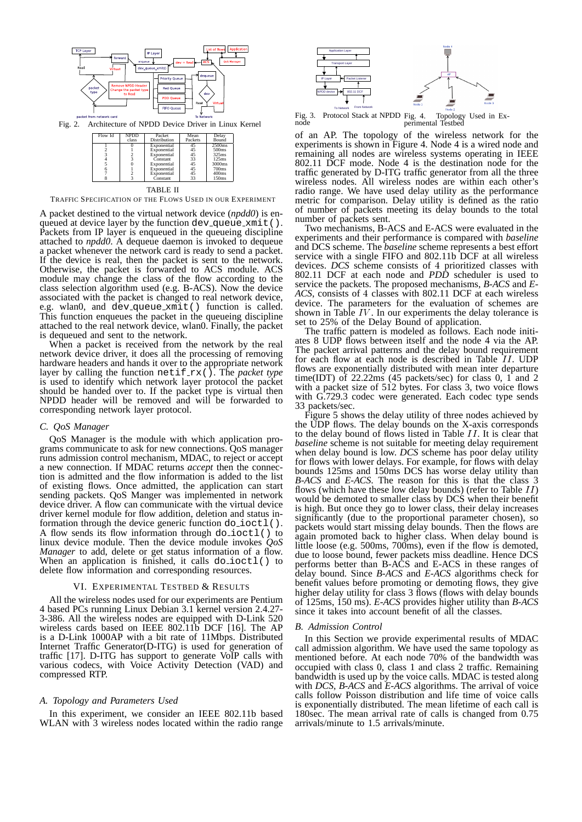

Fig. 2. Architecture of NPDD Device Driver in Linux Kernel

| Flow Id | NPDD          | Packet       | Mean    | Delay             |
|---------|---------------|--------------|---------|-------------------|
|         | class         | Distribution | Packets | Bound             |
|         |               | Exponential  | 45      | 2500ms            |
|         |               | Exponential  | 45      | 500ms             |
|         |               | Exponential  | 45      | 325 <sub>ms</sub> |
|         | $\frac{2}{3}$ | Constant     | 33      | 125ms             |
|         |               | Exponential  | 45      | 3000ms            |
|         |               | Exponential  | 45      | 700ms             |
|         |               | Exponential  | 45      | 400ms             |
|         |               | Constant     | 33      | 150ms             |

TABLE II

TRAFFIC SPECIFICATION OF THE FLOWS USED IN OUR EXPERIMENT

A packet destined to the virtual network device (*npdd0*) is enqueued at device layer by the function dev\_queue\_xmit(). Packets from IP layer is enqueued in the queueing discipline attached to *npdd0*. A dequeue daemon is invoked to dequeue a packet whenever the network card is ready to send a packet. If the device is real, then the packet is sent to the network. Otherwise, the packet is forwarded to ACS module. ACS module may change the class of the flow according to the class selection algorithm used (e.g. B-ACS). Now the device associated with the packet is changed to real network device, e.g. wlan0, and dev\_queue\_xmit() function is called. This function enqueues the packet in the queueing discipline attached to the real network device, wlan0. Finally, the packet is dequeued and sent to the network.

When a packet is received from the network by the real network device driver, it does all the processing of removing hardware headers and hands it over to the appropriate network layer by calling the function netif<sub>rx</sub>(). The *packet type* is used to identify which network layer protocol the packet should be handed over to. If the packet type is virtual then NPDD header will be removed and will be forwarded to corresponding network layer protocol.

# *C. QoS Manager*

QoS Manager is the module with which application programs communicate to ask for new connections. QoS manager runs admission control mechanism, MDAC, to reject or accept a new connection. If MDAC returns *accept* then the connection is admitted and the flow information is added to the list of existing flows. Once admitted, the application can start sending packets. QoS Manger was implemented in network device driver. A flow can communicate with the virtual device driver kernel module for flow addition, deletion and status information through the device generic function do ioctl(). A flow sends its flow information through  $do\_ioct1()$  to linux device module. Then the device module invokes *QoS Manager* to add, delete or get status information of a flow. When an application is finished, it calls  $d$ o $i$ octl $()$  to delete flow information and corresponding resources.

## VI. EXPERIMENTAL TESTBED & RESULTS

All the wireless nodes used for our experiments are Pentium 4 based PCs running Linux Debian 3.1 kernel version 2.4.27- 3-386. All the wireless nodes are equipped with D-Link 520 wireless cards based on IEEE 802.11b DCF [16]. The AP is a D-Link 1000AP with a bit rate of 11Mbps. Distributed Internet Traffic Generator(D-ITG) is used for generation of traffic [17]. D-ITG has support to generate VoIP calls with various codecs, with Voice Activity Detection (VAD) and compressed RTP.

# *A. Topology and Parameters Used*

In this experiment, we consider an IEEE 802.11b based WLAN with 3 wireless nodes located within the radio range



To Network From Network<br>Fig. 3. Protocol Stack at NPDD node Fig. 4. Topology Used in Ex-perimental Testbed

of an AP. The topology of the wireless network for the experiments is shown in Figure 4. Node 4 is a wired node and remaining all nodes are wireless systems operating in IEEE 802.11 DCF mode. Node 4 is the destination node for the traffic generated by D-ITG traffic generator from all the three wireless nodes. All wireless nodes are within each other's radio range. We have used delay utility as the performance metric for comparison. Delay utility is defined as the ratio of number of packets meeting its delay bounds to the total number of packets sent.

Two mechanisms, B-ACS and E-ACS were evaluated in the experiments and their performance is compared with *baseline* and DCS scheme. The *baseline* scheme represents a best effort service with a single FIFO and 802.11b DCF at all wireless devices. *DCS* scheme consists of <sup>4</sup> prioritized classes with 802.11 DCF at each node and *PDD* scheduler is used to service the packets. The proposed mechanisms, *B-ACS* and *E-ACS*, consists of <sup>4</sup> classes with 802.11 DCF at each wireless device. The parameters for the evaluation of schemes are shown in Table  $IV$ . In our experiments the delay tolerance is set to 25% of the Delay Bound of application.

The traffic pattern is modeled as follows. Each node initiates 8 UDP flows between itself and the node 4 via the AP. The packet arrival patterns and the delay bound requirement for each flow at each node is described in Table II. UDP flows are exponentially distributed with mean inter departure time(IDT) of  $22.22\text{ms}$  (45 packets/sec) for class 0, 1 and 2 with a packet size of 512 bytes. For class 3, two voice flows with G.729.3 codec were generated. Each codec type sends 33 packets/sec.

Figure 5 shows the delay utility of three nodes achieved by the UDP flows. The delay bounds on the X-axis corresponds to the delay bound of flows listed in Table II. It is clear that *baseline* scheme is not suitable for meeting delay requirement when delay bound is low. *DCS* scheme has poor delay utility for flows with lower delays. For example, for flows with delay bounds 125ms and 150ms DCS has worse delay utility than *B-ACS* and *E-ACS*. The reason for this is that the class 3 flows (which have these low delay bounds) (refer to Table  $II$ ) would be demoted to smaller class by DCS when their benefit is high. But once they go to lower class, their delay increases significantly (due to the proportional parameter chosen), so packets would start missing delay bounds. Then the flows are again promoted back to higher class. When delay bound is little loose (e.g. 500ms, 700ms), even if the flow is demoted, due to loose bound, fewer packets miss deadline. Hence DCS performs better than B-ACS and E-ACS in these ranges of delay bound. Since *B-ACS* and *E-ACS* algorithms check for benefit values before promoting or demoting flows, they give higher delay utility for class 3 flows (flows with delay bounds) of 125ms, 150 ms). *E-ACS* provides higher utility than *B-ACS* since it takes into account benefit of all the classes.

## *B. Admission Control*

In this Section we provide experimental results of MDAC call admission algorithm. We have used the same topology as mentioned before. At each node 70% of the bandwidth was occupied with class 0, class 1 and class 2 traffic. Remaining bandwidth is used up by the voice calls. MDAC is tested along with *DCS*, *B-ACS* and *E-ACS* algorithms. The arrival of voice calls follow Poisson distribution and life time of voice calls is exponentially distributed. The mean lifetime of each call is 180sec. The mean arrival rate of calls is changed from 0.75 arrivals/minute to 1.5 arrivals/minute.